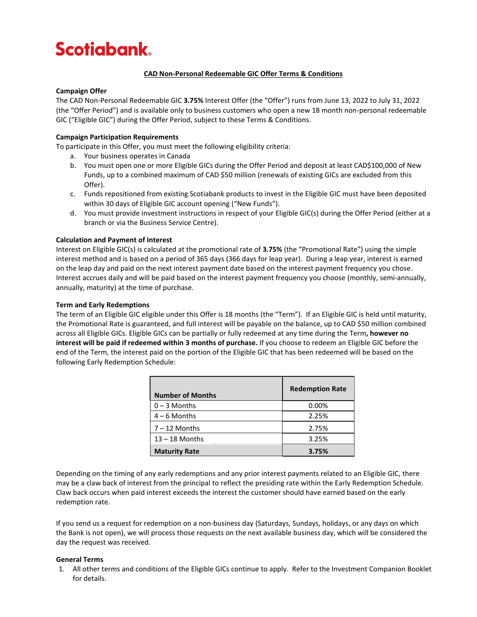# **Scotiabank.**

## **CAD Non-Personal Redeemable GIC Offer Terms & Conditions**

## **Campaign Offer**

The CAD Non-Personal Redeemable GIC **3.75%** Interest Offer (the "Offer") runs from June 13, 2022 to July 31, 2022 (the "Offer Period") and is available only to business customers who open a new 18 month non-personal redeemable GIC ("Eligible GIC") during the Offer Period, subject to these Terms & Conditions.

## **Campaign Participation Requirements**

To participate in this Offer, you must meet the following eligibility criteria:

- a. Your business operates in Canada
- b. You must open one or more Eligible GICs during the Offer Period and deposit at least CAD\$100,000 of New Funds, up to a combined maximum of CAD \$50 million (renewals of existing GICs are excluded from this Offer).
- c. Funds repositioned from existing Scotiabank products to invest in the Eligible GIC must have been deposited within 30 days of Eligible GIC account opening ("New Funds").
- d. You must provide investment instructions in respect of your Eligible GIC(s) during the Offer Period (either at a branch or via the Business Service Centre).

#### **Calculation and Payment of Interest**

Interest on Eligible GIC(s) is calculated at the promotional rate of **3.75%** (the "Promotional Rate") using the simple interest method and is based on a period of 365 days (366 days for leap year). During a leap year, interest is earned on the leap day and paid on the next interest payment date based on the interest payment frequency you chose. Interest accrues daily and will be paid based on the interest payment frequency you choose (monthly, semi-annually, annually, maturity) at the time of purchase.

#### **Term and Early Redemptions**

The term of an Eligible GIC eligible under this Offer is 18 months (the "Term"). If an Eligible GIC is held until maturity, the Promotional Rate is guaranteed, and full interest will be payable on the balance, up to CAD \$50 million combined across all Eligible GICs. Eligible GICs can be partially or fully redeemed at any time during the Term**, however no interest will be paid if redeemed within 3 months of purchase.** If you choose to redeem an Eligible GIC before the end of the Term, the interest paid on the portion of the Eligible GIC that has been redeemed will be based on the following Early Redemption Schedule:

| <b>Number of Months</b> | <b>Redemption Rate</b> |
|-------------------------|------------------------|
| $0 - 3$ Months          | 0.00%                  |
| $4 - 6$ Months          | 2.25%                  |
| $7 - 12$ Months         | 2.75%                  |
| $13 - 18$ Months        | 3.25%                  |
| <b>Maturity Rate</b>    | 3.75%                  |

Depending on the timing of any early redemptions and any prior interest payments related to an Eligible GIC, there may be a claw back of interest from the principal to reflect the presiding rate within the Early Redemption Schedule. Claw back occurs when paid interest exceeds the interest the customer should have earned based on the early redemption rate.

If you send us a request for redemption on a non-business day (Saturdays, Sundays, holidays, or any days on which the Bank is not open), we will process those requests on the next available business day, which will be considered the day the request was received.

## **General Terms**

1. All other terms and conditions of the Eligible GICs continue to apply. Refer to the Investment Companion Booklet for details.